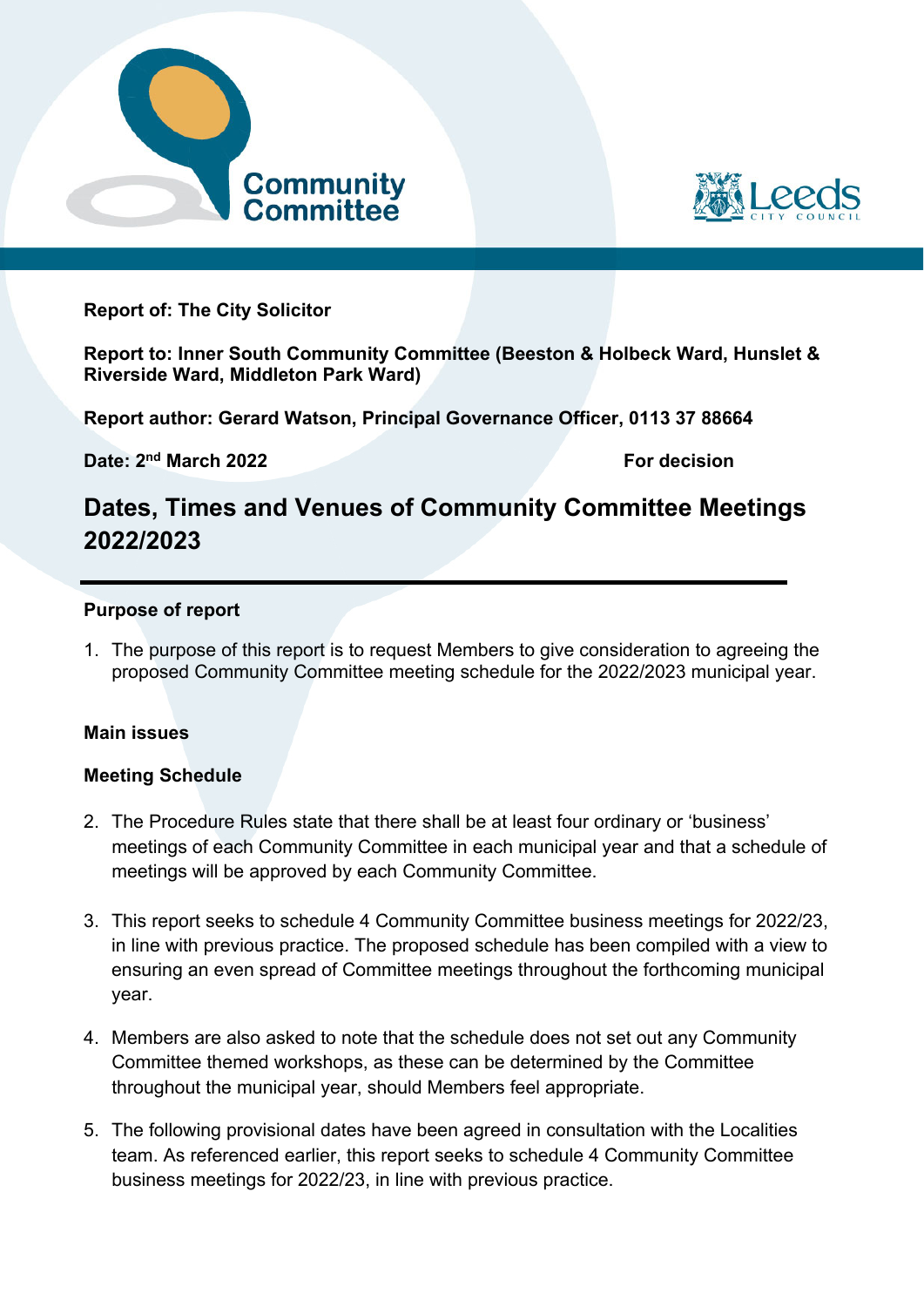



**Report of: The City Solicitor** 

**Report to: Inner South Community Committee (Beeston & Holbeck Ward, Hunslet & Riverside Ward, Middleton Park Ward)** 

**Report author: Gerard Watson, Principal Governance Officer, 0113 37 88664** 

**Date: 2<sup>nd</sup> March 2022 For decision** 

# **Dates, Times and Venues of Community Committee Meetings 2022/2023**

#### **Purpose of report**

1. The purpose of this report is to request Members to give consideration to agreeing the proposed Community Committee meeting schedule for the 2022/2023 municipal year.

#### **Main issues**

#### **Meeting Schedule**

- 2. The Procedure Rules state that there shall be at least four ordinary or 'business' meetings of each Community Committee in each municipal year and that a schedule of meetings will be approved by each Community Committee.
- 3. This report seeks to schedule 4 Community Committee business meetings for 2022/23, in line with previous practice. The proposed schedule has been compiled with a view to ensuring an even spread of Committee meetings throughout the forthcoming municipal year.
- 4. Members are also asked to note that the schedule does not set out any Community Committee themed workshops, as these can be determined by the Committee throughout the municipal year, should Members feel appropriate.
- 5. The following provisional dates have been agreed in consultation with the Localities team. As referenced earlier, this report seeks to schedule 4 Community Committee business meetings for 2022/23, in line with previous practice.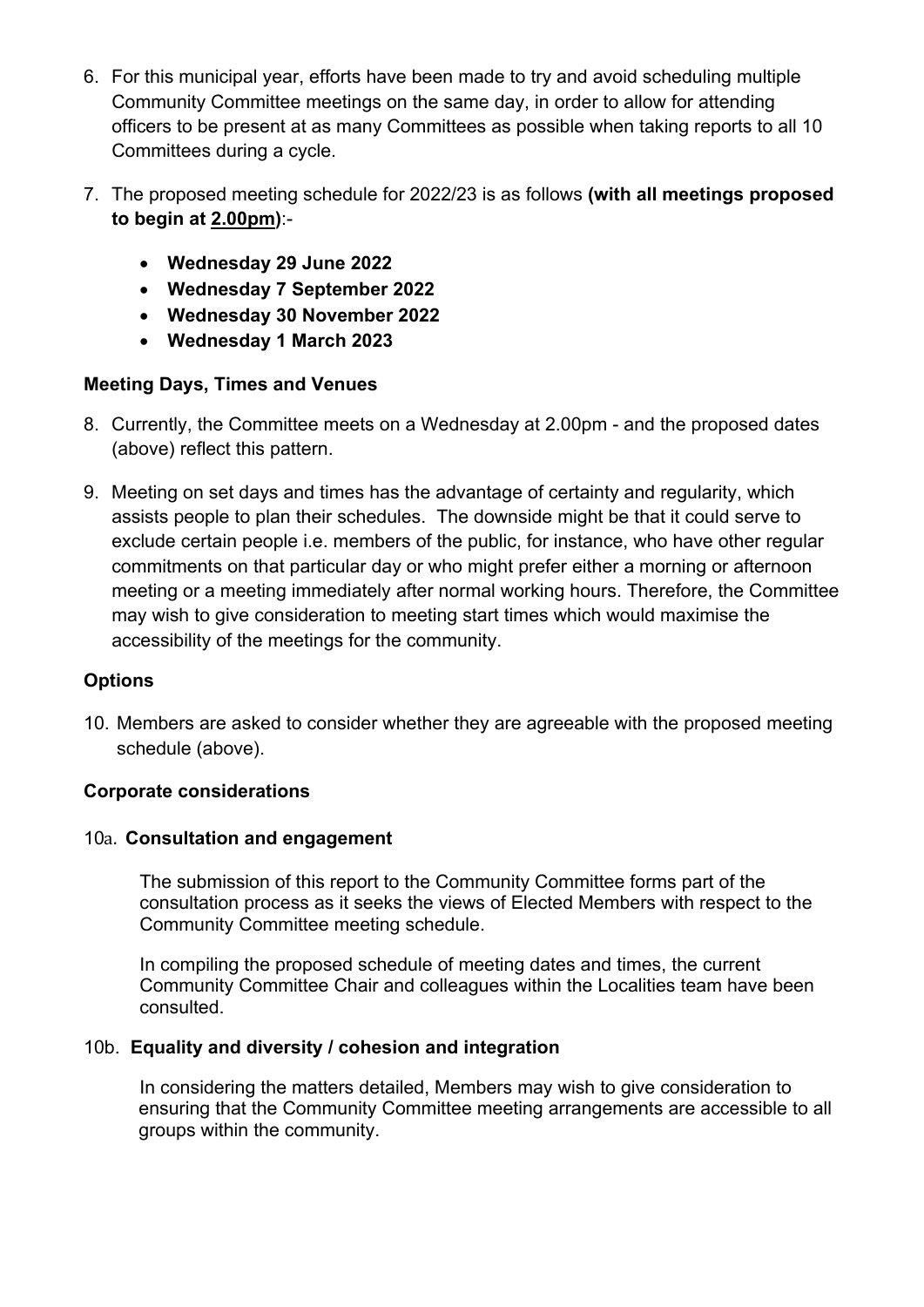- 6. For this municipal year, efforts have been made to try and avoid scheduling multiple Community Committee meetings on the same day, in order to allow for attending officers to be present at as many Committees as possible when taking reports to all 10 Committees during a cycle.
- 7. The proposed meeting schedule for 2022/23 is as follows **(with all meetings proposed to begin at 2.00pm)**:-
	- **Wednesday 29 June 2022**
	- **Wednesday 7 September 2022**
	- **Wednesday 30 November 2022**
	- **Wednesday 1 March 2023**

# **Meeting Days, Times and Venues**

- 8. Currently, the Committee meets on a Wednesday at 2.00pm and the proposed dates (above) reflect this pattern.
- 9. Meeting on set days and times has the advantage of certainty and regularity, which assists people to plan their schedules. The downside might be that it could serve to exclude certain people i.e. members of the public, for instance, who have other regular commitments on that particular day or who might prefer either a morning or afternoon meeting or a meeting immediately after normal working hours. Therefore, the Committee may wish to give consideration to meeting start times which would maximise the accessibility of the meetings for the community.

# **Options**

10. Members are asked to consider whether they are agreeable with the proposed meeting schedule (above).

# **Corporate considerations**

# 10a. **Consultation and engagement**

The submission of this report to the Community Committee forms part of the consultation process as it seeks the views of Elected Members with respect to the Community Committee meeting schedule.

In compiling the proposed schedule of meeting dates and times, the current Community Committee Chair and colleagues within the Localities team have been consulted.

# 10b. **Equality and diversity / cohesion and integration**

In considering the matters detailed, Members may wish to give consideration to ensuring that the Community Committee meeting arrangements are accessible to all groups within the community.